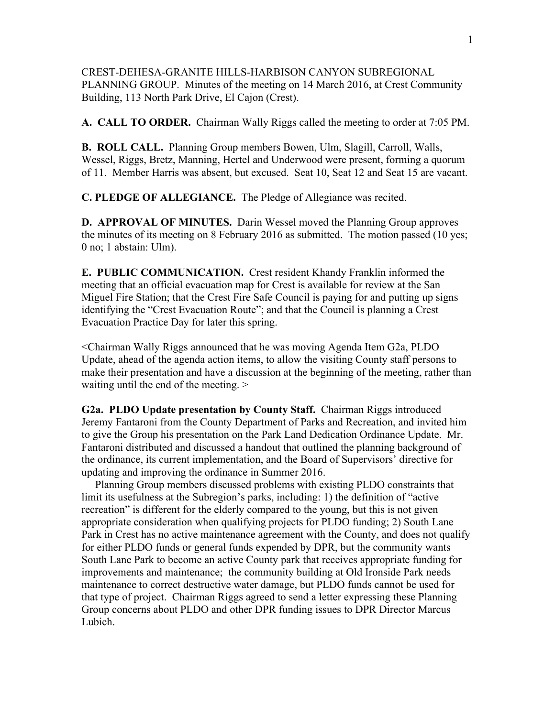CREST-DEHESA-GRANITE HILLS-HARBISON CANYON SUBREGIONAL PLANNING GROUP. Minutes of the meeting on 14 March 2016, at Crest Community Building, 113 North Park Drive, El Cajon (Crest).

**A. CALL TO ORDER.** Chairman Wally Riggs called the meeting to order at 7:05 PM.

**B. ROLL CALL.** Planning Group members Bowen, Ulm, Slagill, Carroll, Walls, Wessel, Riggs, Bretz, Manning, Hertel and Underwood were present, forming a quorum of 11. Member Harris was absent, but excused. Seat 10, Seat 12 and Seat 15 are vacant.

**C. PLEDGE OF ALLEGIANCE.** The Pledge of Allegiance was recited.

**D. APPROVAL OF MINUTES.** Darin Wessel moved the Planning Group approves the minutes of its meeting on 8 February 2016 as submitted. The motion passed (10 yes; 0 no; 1 abstain: Ulm).

**E. PUBLIC COMMUNICATION.** Crest resident Khandy Franklin informed the meeting that an official evacuation map for Crest is available for review at the San Miguel Fire Station; that the Crest Fire Safe Council is paying for and putting up signs identifying the "Crest Evacuation Route"; and that the Council is planning a Crest Evacuation Practice Day for later this spring.

<Chairman Wally Riggs announced that he was moving Agenda Item G2a, PLDO Update, ahead of the agenda action items, to allow the visiting County staff persons to make their presentation and have a discussion at the beginning of the meeting, rather than waiting until the end of the meeting. >

**G2a. PLDO Update presentation by County Staff.** Chairman Riggs introduced Jeremy Fantaroni from the County Department of Parks and Recreation, and invited him to give the Group his presentation on the Park Land Dedication Ordinance Update. Mr. Fantaroni distributed and discussed a handout that outlined the planning background of the ordinance, its current implementation, and the Board of Supervisors' directive for updating and improving the ordinance in Summer 2016.

 Planning Group members discussed problems with existing PLDO constraints that limit its usefulness at the Subregion's parks, including: 1) the definition of "active recreation" is different for the elderly compared to the young, but this is not given appropriate consideration when qualifying projects for PLDO funding; 2) South Lane Park in Crest has no active maintenance agreement with the County, and does not qualify for either PLDO funds or general funds expended by DPR, but the community wants South Lane Park to become an active County park that receives appropriate funding for improvements and maintenance; the community building at Old Ironside Park needs maintenance to correct destructive water damage, but PLDO funds cannot be used for that type of project. Chairman Riggs agreed to send a letter expressing these Planning Group concerns about PLDO and other DPR funding issues to DPR Director Marcus Lubich.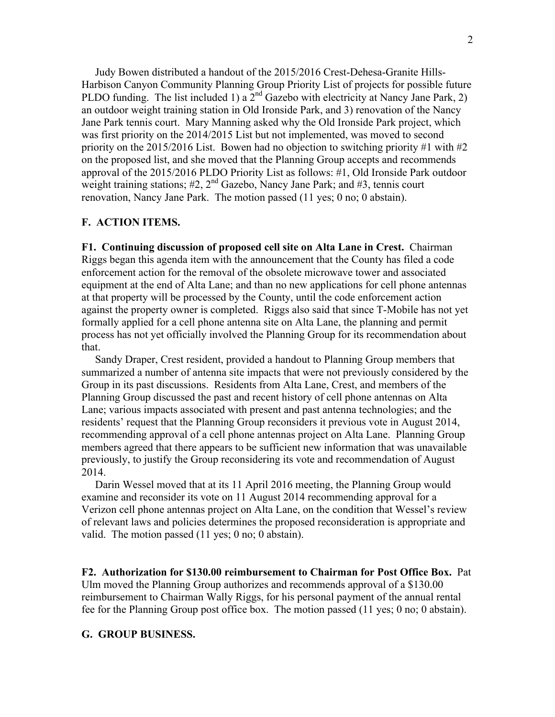Judy Bowen distributed a handout of the 2015/2016 Crest-Dehesa-Granite Hills-Harbison Canyon Community Planning Group Priority List of projects for possible future PLDO funding. The list included 1) a  $2<sup>nd</sup>$  Gazebo with electricity at Nancy Jane Park, 2) an outdoor weight training station in Old Ironside Park, and 3) renovation of the Nancy Jane Park tennis court. Mary Manning asked why the Old Ironside Park project, which was first priority on the 2014/2015 List but not implemented, was moved to second priority on the 2015/2016 List. Bowen had no objection to switching priority #1 with  $#2$ on the proposed list, and she moved that the Planning Group accepts and recommends approval of the 2015/2016 PLDO Priority List as follows: #1, Old Ironside Park outdoor weight training stations;  $\#2$ ,  $2^{nd}$  Gazebo, Nancy Jane Park; and  $\#3$ , tennis court renovation, Nancy Jane Park. The motion passed (11 yes; 0 no; 0 abstain).

## **F. ACTION ITEMS.**

**F1. Continuing discussion of proposed cell site on Alta Lane in Crest.** Chairman Riggs began this agenda item with the announcement that the County has filed a code enforcement action for the removal of the obsolete microwave tower and associated equipment at the end of Alta Lane; and than no new applications for cell phone antennas at that property will be processed by the County, until the code enforcement action against the property owner is completed. Riggs also said that since T-Mobile has not yet formally applied for a cell phone antenna site on Alta Lane, the planning and permit process has not yet officially involved the Planning Group for its recommendation about that.

 Sandy Draper, Crest resident, provided a handout to Planning Group members that summarized a number of antenna site impacts that were not previously considered by the Group in its past discussions. Residents from Alta Lane, Crest, and members of the Planning Group discussed the past and recent history of cell phone antennas on Alta Lane; various impacts associated with present and past antenna technologies; and the residents' request that the Planning Group reconsiders it previous vote in August 2014, recommending approval of a cell phone antennas project on Alta Lane. Planning Group members agreed that there appears to be sufficient new information that was unavailable previously, to justify the Group reconsidering its vote and recommendation of August 2014.

 Darin Wessel moved that at its 11 April 2016 meeting, the Planning Group would examine and reconsider its vote on 11 August 2014 recommending approval for a Verizon cell phone antennas project on Alta Lane, on the condition that Wessel's review of relevant laws and policies determines the proposed reconsideration is appropriate and valid. The motion passed (11 yes; 0 no; 0 abstain).

**F2. Authorization for \$130.00 reimbursement to Chairman for Post Office Box.** Pat Ulm moved the Planning Group authorizes and recommends approval of a \$130.00 reimbursement to Chairman Wally Riggs, for his personal payment of the annual rental fee for the Planning Group post office box. The motion passed (11 yes; 0 no; 0 abstain).

## **G. GROUP BUSINESS.**